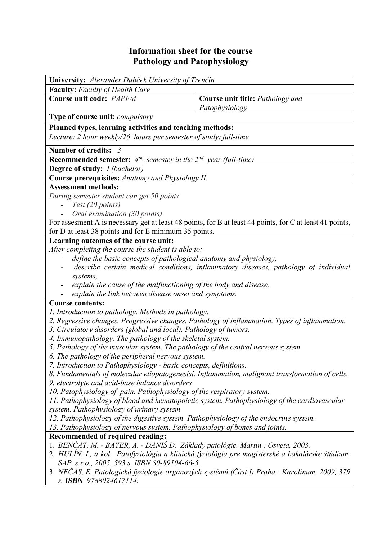## **Information sheet for the course Pathology and Patophysiology**

| University: Alexander Dubček University of Trenčín<br><b>Faculty:</b> Faculty of Health Care<br>Course unit code: PAPF/d<br>Course unit title: Pathology and<br>Patophysiology<br>Type of course unit: compulsory<br>Planned types, learning activities and teaching methods:<br>Lecture: 2 hour weekly/26 hours per semester of study; full-time<br><b>Number of credits:</b><br>- 3<br><b>Recommended semester:</b> $4^{th}$ semester in the $2^{nd}$ year (full-time)<br><b>Degree of study:</b> <i>I (bachelor)</i><br>Course prerequisites: Anatomy and Physiology II.<br><b>Assessment methods:</b><br>During semester student can get 50 points<br>Test (20 points)<br>Oral examination (30 points)<br>For assesment A is necessary get at least 48 points, for B at least 44 points, for C at least 41 points,<br>for D at least 38 points and for E minimum 35 points.<br>Learning outcomes of the course unit:<br>After completing the course the student is able to:<br>define the basic concepts of pathological anatomy and physiology,<br>describe certain medical conditions, inflammatory diseases, pathology of individual<br>systems,<br>explain the cause of the malfunctioning of the body and disease,<br>explain the link between disease onset and symptoms.<br><b>Course contents:</b><br>1. Introduction to pathology. Methods in pathology.<br>2. Regressive changes. Progressive changes. Pathology of inflammation. Types of inflammation.<br>3. Circulatory disorders (global and local). Pathology of tumors.<br>4. Immunopathology. The pathology of the skeletal system.<br>5. Pathology of the muscular system. The pathology of the central nervous system.<br>6. The pathology of the peripheral nervous system.<br>7. Introduction to Pathophysiology - basic concepts, definitions.<br>8. Fundamentals of molecular etiopatogenesisi. Inflammation, malignant transformation of cells.<br>9. electrolyte and acid-base balance disorders<br>10. Patophysiology of pain. Pathophysiology of the respiratory system.<br>11. Pathophysiology of blood and hematopoietic system. Pathophysiology of the cardiovascular<br>system. Pathophysiology of urinary system.<br>12. Pathophysiology of the digestive system. Pathophysiology of the endocrine system.<br>13. Pathophysiology of nervous system. Pathophysiology of bones and joints.<br>Recommended of required reading:<br>1. BENČAT, M. - BAYER, A. - DANIŠ D. Základy patológie. Martin : Osveta, 2003.<br>2. HULÍN, I., a kol. Patofyziológia a klinická fyziológia pre magisterské a bakalárske štúdium.<br>SAP, s.r.o., 2005. 593 s. ISBN 80-89104-66-5.<br>3. NEČAS, E. Patologická fyziologie orgánových systémů (Část I) Praha : Karolinum, 2009, 379<br>s. ISBN 9788024617114. |  |  |  |
|-----------------------------------------------------------------------------------------------------------------------------------------------------------------------------------------------------------------------------------------------------------------------------------------------------------------------------------------------------------------------------------------------------------------------------------------------------------------------------------------------------------------------------------------------------------------------------------------------------------------------------------------------------------------------------------------------------------------------------------------------------------------------------------------------------------------------------------------------------------------------------------------------------------------------------------------------------------------------------------------------------------------------------------------------------------------------------------------------------------------------------------------------------------------------------------------------------------------------------------------------------------------------------------------------------------------------------------------------------------------------------------------------------------------------------------------------------------------------------------------------------------------------------------------------------------------------------------------------------------------------------------------------------------------------------------------------------------------------------------------------------------------------------------------------------------------------------------------------------------------------------------------------------------------------------------------------------------------------------------------------------------------------------------------------------------------------------------------------------------------------------------------------------------------------------------------------------------------------------------------------------------------------------------------------------------------------------------------------------------------------------------------------------------------------------------------------------------------------------------------------------------------------------------------------------------------------------------------------------------------------------------------------------------------------------------------------------------------------------------------------------------------------------------|--|--|--|
|                                                                                                                                                                                                                                                                                                                                                                                                                                                                                                                                                                                                                                                                                                                                                                                                                                                                                                                                                                                                                                                                                                                                                                                                                                                                                                                                                                                                                                                                                                                                                                                                                                                                                                                                                                                                                                                                                                                                                                                                                                                                                                                                                                                                                                                                                                                                                                                                                                                                                                                                                                                                                                                                                                                                                                                   |  |  |  |
|                                                                                                                                                                                                                                                                                                                                                                                                                                                                                                                                                                                                                                                                                                                                                                                                                                                                                                                                                                                                                                                                                                                                                                                                                                                                                                                                                                                                                                                                                                                                                                                                                                                                                                                                                                                                                                                                                                                                                                                                                                                                                                                                                                                                                                                                                                                                                                                                                                                                                                                                                                                                                                                                                                                                                                                   |  |  |  |
|                                                                                                                                                                                                                                                                                                                                                                                                                                                                                                                                                                                                                                                                                                                                                                                                                                                                                                                                                                                                                                                                                                                                                                                                                                                                                                                                                                                                                                                                                                                                                                                                                                                                                                                                                                                                                                                                                                                                                                                                                                                                                                                                                                                                                                                                                                                                                                                                                                                                                                                                                                                                                                                                                                                                                                                   |  |  |  |
|                                                                                                                                                                                                                                                                                                                                                                                                                                                                                                                                                                                                                                                                                                                                                                                                                                                                                                                                                                                                                                                                                                                                                                                                                                                                                                                                                                                                                                                                                                                                                                                                                                                                                                                                                                                                                                                                                                                                                                                                                                                                                                                                                                                                                                                                                                                                                                                                                                                                                                                                                                                                                                                                                                                                                                                   |  |  |  |
|                                                                                                                                                                                                                                                                                                                                                                                                                                                                                                                                                                                                                                                                                                                                                                                                                                                                                                                                                                                                                                                                                                                                                                                                                                                                                                                                                                                                                                                                                                                                                                                                                                                                                                                                                                                                                                                                                                                                                                                                                                                                                                                                                                                                                                                                                                                                                                                                                                                                                                                                                                                                                                                                                                                                                                                   |  |  |  |
|                                                                                                                                                                                                                                                                                                                                                                                                                                                                                                                                                                                                                                                                                                                                                                                                                                                                                                                                                                                                                                                                                                                                                                                                                                                                                                                                                                                                                                                                                                                                                                                                                                                                                                                                                                                                                                                                                                                                                                                                                                                                                                                                                                                                                                                                                                                                                                                                                                                                                                                                                                                                                                                                                                                                                                                   |  |  |  |
|                                                                                                                                                                                                                                                                                                                                                                                                                                                                                                                                                                                                                                                                                                                                                                                                                                                                                                                                                                                                                                                                                                                                                                                                                                                                                                                                                                                                                                                                                                                                                                                                                                                                                                                                                                                                                                                                                                                                                                                                                                                                                                                                                                                                                                                                                                                                                                                                                                                                                                                                                                                                                                                                                                                                                                                   |  |  |  |
|                                                                                                                                                                                                                                                                                                                                                                                                                                                                                                                                                                                                                                                                                                                                                                                                                                                                                                                                                                                                                                                                                                                                                                                                                                                                                                                                                                                                                                                                                                                                                                                                                                                                                                                                                                                                                                                                                                                                                                                                                                                                                                                                                                                                                                                                                                                                                                                                                                                                                                                                                                                                                                                                                                                                                                                   |  |  |  |
|                                                                                                                                                                                                                                                                                                                                                                                                                                                                                                                                                                                                                                                                                                                                                                                                                                                                                                                                                                                                                                                                                                                                                                                                                                                                                                                                                                                                                                                                                                                                                                                                                                                                                                                                                                                                                                                                                                                                                                                                                                                                                                                                                                                                                                                                                                                                                                                                                                                                                                                                                                                                                                                                                                                                                                                   |  |  |  |
|                                                                                                                                                                                                                                                                                                                                                                                                                                                                                                                                                                                                                                                                                                                                                                                                                                                                                                                                                                                                                                                                                                                                                                                                                                                                                                                                                                                                                                                                                                                                                                                                                                                                                                                                                                                                                                                                                                                                                                                                                                                                                                                                                                                                                                                                                                                                                                                                                                                                                                                                                                                                                                                                                                                                                                                   |  |  |  |
|                                                                                                                                                                                                                                                                                                                                                                                                                                                                                                                                                                                                                                                                                                                                                                                                                                                                                                                                                                                                                                                                                                                                                                                                                                                                                                                                                                                                                                                                                                                                                                                                                                                                                                                                                                                                                                                                                                                                                                                                                                                                                                                                                                                                                                                                                                                                                                                                                                                                                                                                                                                                                                                                                                                                                                                   |  |  |  |
|                                                                                                                                                                                                                                                                                                                                                                                                                                                                                                                                                                                                                                                                                                                                                                                                                                                                                                                                                                                                                                                                                                                                                                                                                                                                                                                                                                                                                                                                                                                                                                                                                                                                                                                                                                                                                                                                                                                                                                                                                                                                                                                                                                                                                                                                                                                                                                                                                                                                                                                                                                                                                                                                                                                                                                                   |  |  |  |
|                                                                                                                                                                                                                                                                                                                                                                                                                                                                                                                                                                                                                                                                                                                                                                                                                                                                                                                                                                                                                                                                                                                                                                                                                                                                                                                                                                                                                                                                                                                                                                                                                                                                                                                                                                                                                                                                                                                                                                                                                                                                                                                                                                                                                                                                                                                                                                                                                                                                                                                                                                                                                                                                                                                                                                                   |  |  |  |
|                                                                                                                                                                                                                                                                                                                                                                                                                                                                                                                                                                                                                                                                                                                                                                                                                                                                                                                                                                                                                                                                                                                                                                                                                                                                                                                                                                                                                                                                                                                                                                                                                                                                                                                                                                                                                                                                                                                                                                                                                                                                                                                                                                                                                                                                                                                                                                                                                                                                                                                                                                                                                                                                                                                                                                                   |  |  |  |
|                                                                                                                                                                                                                                                                                                                                                                                                                                                                                                                                                                                                                                                                                                                                                                                                                                                                                                                                                                                                                                                                                                                                                                                                                                                                                                                                                                                                                                                                                                                                                                                                                                                                                                                                                                                                                                                                                                                                                                                                                                                                                                                                                                                                                                                                                                                                                                                                                                                                                                                                                                                                                                                                                                                                                                                   |  |  |  |
|                                                                                                                                                                                                                                                                                                                                                                                                                                                                                                                                                                                                                                                                                                                                                                                                                                                                                                                                                                                                                                                                                                                                                                                                                                                                                                                                                                                                                                                                                                                                                                                                                                                                                                                                                                                                                                                                                                                                                                                                                                                                                                                                                                                                                                                                                                                                                                                                                                                                                                                                                                                                                                                                                                                                                                                   |  |  |  |
|                                                                                                                                                                                                                                                                                                                                                                                                                                                                                                                                                                                                                                                                                                                                                                                                                                                                                                                                                                                                                                                                                                                                                                                                                                                                                                                                                                                                                                                                                                                                                                                                                                                                                                                                                                                                                                                                                                                                                                                                                                                                                                                                                                                                                                                                                                                                                                                                                                                                                                                                                                                                                                                                                                                                                                                   |  |  |  |
|                                                                                                                                                                                                                                                                                                                                                                                                                                                                                                                                                                                                                                                                                                                                                                                                                                                                                                                                                                                                                                                                                                                                                                                                                                                                                                                                                                                                                                                                                                                                                                                                                                                                                                                                                                                                                                                                                                                                                                                                                                                                                                                                                                                                                                                                                                                                                                                                                                                                                                                                                                                                                                                                                                                                                                                   |  |  |  |
|                                                                                                                                                                                                                                                                                                                                                                                                                                                                                                                                                                                                                                                                                                                                                                                                                                                                                                                                                                                                                                                                                                                                                                                                                                                                                                                                                                                                                                                                                                                                                                                                                                                                                                                                                                                                                                                                                                                                                                                                                                                                                                                                                                                                                                                                                                                                                                                                                                                                                                                                                                                                                                                                                                                                                                                   |  |  |  |
|                                                                                                                                                                                                                                                                                                                                                                                                                                                                                                                                                                                                                                                                                                                                                                                                                                                                                                                                                                                                                                                                                                                                                                                                                                                                                                                                                                                                                                                                                                                                                                                                                                                                                                                                                                                                                                                                                                                                                                                                                                                                                                                                                                                                                                                                                                                                                                                                                                                                                                                                                                                                                                                                                                                                                                                   |  |  |  |
|                                                                                                                                                                                                                                                                                                                                                                                                                                                                                                                                                                                                                                                                                                                                                                                                                                                                                                                                                                                                                                                                                                                                                                                                                                                                                                                                                                                                                                                                                                                                                                                                                                                                                                                                                                                                                                                                                                                                                                                                                                                                                                                                                                                                                                                                                                                                                                                                                                                                                                                                                                                                                                                                                                                                                                                   |  |  |  |
|                                                                                                                                                                                                                                                                                                                                                                                                                                                                                                                                                                                                                                                                                                                                                                                                                                                                                                                                                                                                                                                                                                                                                                                                                                                                                                                                                                                                                                                                                                                                                                                                                                                                                                                                                                                                                                                                                                                                                                                                                                                                                                                                                                                                                                                                                                                                                                                                                                                                                                                                                                                                                                                                                                                                                                                   |  |  |  |
|                                                                                                                                                                                                                                                                                                                                                                                                                                                                                                                                                                                                                                                                                                                                                                                                                                                                                                                                                                                                                                                                                                                                                                                                                                                                                                                                                                                                                                                                                                                                                                                                                                                                                                                                                                                                                                                                                                                                                                                                                                                                                                                                                                                                                                                                                                                                                                                                                                                                                                                                                                                                                                                                                                                                                                                   |  |  |  |
|                                                                                                                                                                                                                                                                                                                                                                                                                                                                                                                                                                                                                                                                                                                                                                                                                                                                                                                                                                                                                                                                                                                                                                                                                                                                                                                                                                                                                                                                                                                                                                                                                                                                                                                                                                                                                                                                                                                                                                                                                                                                                                                                                                                                                                                                                                                                                                                                                                                                                                                                                                                                                                                                                                                                                                                   |  |  |  |
|                                                                                                                                                                                                                                                                                                                                                                                                                                                                                                                                                                                                                                                                                                                                                                                                                                                                                                                                                                                                                                                                                                                                                                                                                                                                                                                                                                                                                                                                                                                                                                                                                                                                                                                                                                                                                                                                                                                                                                                                                                                                                                                                                                                                                                                                                                                                                                                                                                                                                                                                                                                                                                                                                                                                                                                   |  |  |  |
|                                                                                                                                                                                                                                                                                                                                                                                                                                                                                                                                                                                                                                                                                                                                                                                                                                                                                                                                                                                                                                                                                                                                                                                                                                                                                                                                                                                                                                                                                                                                                                                                                                                                                                                                                                                                                                                                                                                                                                                                                                                                                                                                                                                                                                                                                                                                                                                                                                                                                                                                                                                                                                                                                                                                                                                   |  |  |  |
|                                                                                                                                                                                                                                                                                                                                                                                                                                                                                                                                                                                                                                                                                                                                                                                                                                                                                                                                                                                                                                                                                                                                                                                                                                                                                                                                                                                                                                                                                                                                                                                                                                                                                                                                                                                                                                                                                                                                                                                                                                                                                                                                                                                                                                                                                                                                                                                                                                                                                                                                                                                                                                                                                                                                                                                   |  |  |  |
|                                                                                                                                                                                                                                                                                                                                                                                                                                                                                                                                                                                                                                                                                                                                                                                                                                                                                                                                                                                                                                                                                                                                                                                                                                                                                                                                                                                                                                                                                                                                                                                                                                                                                                                                                                                                                                                                                                                                                                                                                                                                                                                                                                                                                                                                                                                                                                                                                                                                                                                                                                                                                                                                                                                                                                                   |  |  |  |
|                                                                                                                                                                                                                                                                                                                                                                                                                                                                                                                                                                                                                                                                                                                                                                                                                                                                                                                                                                                                                                                                                                                                                                                                                                                                                                                                                                                                                                                                                                                                                                                                                                                                                                                                                                                                                                                                                                                                                                                                                                                                                                                                                                                                                                                                                                                                                                                                                                                                                                                                                                                                                                                                                                                                                                                   |  |  |  |
|                                                                                                                                                                                                                                                                                                                                                                                                                                                                                                                                                                                                                                                                                                                                                                                                                                                                                                                                                                                                                                                                                                                                                                                                                                                                                                                                                                                                                                                                                                                                                                                                                                                                                                                                                                                                                                                                                                                                                                                                                                                                                                                                                                                                                                                                                                                                                                                                                                                                                                                                                                                                                                                                                                                                                                                   |  |  |  |
|                                                                                                                                                                                                                                                                                                                                                                                                                                                                                                                                                                                                                                                                                                                                                                                                                                                                                                                                                                                                                                                                                                                                                                                                                                                                                                                                                                                                                                                                                                                                                                                                                                                                                                                                                                                                                                                                                                                                                                                                                                                                                                                                                                                                                                                                                                                                                                                                                                                                                                                                                                                                                                                                                                                                                                                   |  |  |  |
|                                                                                                                                                                                                                                                                                                                                                                                                                                                                                                                                                                                                                                                                                                                                                                                                                                                                                                                                                                                                                                                                                                                                                                                                                                                                                                                                                                                                                                                                                                                                                                                                                                                                                                                                                                                                                                                                                                                                                                                                                                                                                                                                                                                                                                                                                                                                                                                                                                                                                                                                                                                                                                                                                                                                                                                   |  |  |  |
|                                                                                                                                                                                                                                                                                                                                                                                                                                                                                                                                                                                                                                                                                                                                                                                                                                                                                                                                                                                                                                                                                                                                                                                                                                                                                                                                                                                                                                                                                                                                                                                                                                                                                                                                                                                                                                                                                                                                                                                                                                                                                                                                                                                                                                                                                                                                                                                                                                                                                                                                                                                                                                                                                                                                                                                   |  |  |  |
|                                                                                                                                                                                                                                                                                                                                                                                                                                                                                                                                                                                                                                                                                                                                                                                                                                                                                                                                                                                                                                                                                                                                                                                                                                                                                                                                                                                                                                                                                                                                                                                                                                                                                                                                                                                                                                                                                                                                                                                                                                                                                                                                                                                                                                                                                                                                                                                                                                                                                                                                                                                                                                                                                                                                                                                   |  |  |  |
|                                                                                                                                                                                                                                                                                                                                                                                                                                                                                                                                                                                                                                                                                                                                                                                                                                                                                                                                                                                                                                                                                                                                                                                                                                                                                                                                                                                                                                                                                                                                                                                                                                                                                                                                                                                                                                                                                                                                                                                                                                                                                                                                                                                                                                                                                                                                                                                                                                                                                                                                                                                                                                                                                                                                                                                   |  |  |  |
|                                                                                                                                                                                                                                                                                                                                                                                                                                                                                                                                                                                                                                                                                                                                                                                                                                                                                                                                                                                                                                                                                                                                                                                                                                                                                                                                                                                                                                                                                                                                                                                                                                                                                                                                                                                                                                                                                                                                                                                                                                                                                                                                                                                                                                                                                                                                                                                                                                                                                                                                                                                                                                                                                                                                                                                   |  |  |  |
|                                                                                                                                                                                                                                                                                                                                                                                                                                                                                                                                                                                                                                                                                                                                                                                                                                                                                                                                                                                                                                                                                                                                                                                                                                                                                                                                                                                                                                                                                                                                                                                                                                                                                                                                                                                                                                                                                                                                                                                                                                                                                                                                                                                                                                                                                                                                                                                                                                                                                                                                                                                                                                                                                                                                                                                   |  |  |  |
|                                                                                                                                                                                                                                                                                                                                                                                                                                                                                                                                                                                                                                                                                                                                                                                                                                                                                                                                                                                                                                                                                                                                                                                                                                                                                                                                                                                                                                                                                                                                                                                                                                                                                                                                                                                                                                                                                                                                                                                                                                                                                                                                                                                                                                                                                                                                                                                                                                                                                                                                                                                                                                                                                                                                                                                   |  |  |  |
|                                                                                                                                                                                                                                                                                                                                                                                                                                                                                                                                                                                                                                                                                                                                                                                                                                                                                                                                                                                                                                                                                                                                                                                                                                                                                                                                                                                                                                                                                                                                                                                                                                                                                                                                                                                                                                                                                                                                                                                                                                                                                                                                                                                                                                                                                                                                                                                                                                                                                                                                                                                                                                                                                                                                                                                   |  |  |  |
|                                                                                                                                                                                                                                                                                                                                                                                                                                                                                                                                                                                                                                                                                                                                                                                                                                                                                                                                                                                                                                                                                                                                                                                                                                                                                                                                                                                                                                                                                                                                                                                                                                                                                                                                                                                                                                                                                                                                                                                                                                                                                                                                                                                                                                                                                                                                                                                                                                                                                                                                                                                                                                                                                                                                                                                   |  |  |  |
|                                                                                                                                                                                                                                                                                                                                                                                                                                                                                                                                                                                                                                                                                                                                                                                                                                                                                                                                                                                                                                                                                                                                                                                                                                                                                                                                                                                                                                                                                                                                                                                                                                                                                                                                                                                                                                                                                                                                                                                                                                                                                                                                                                                                                                                                                                                                                                                                                                                                                                                                                                                                                                                                                                                                                                                   |  |  |  |
|                                                                                                                                                                                                                                                                                                                                                                                                                                                                                                                                                                                                                                                                                                                                                                                                                                                                                                                                                                                                                                                                                                                                                                                                                                                                                                                                                                                                                                                                                                                                                                                                                                                                                                                                                                                                                                                                                                                                                                                                                                                                                                                                                                                                                                                                                                                                                                                                                                                                                                                                                                                                                                                                                                                                                                                   |  |  |  |
|                                                                                                                                                                                                                                                                                                                                                                                                                                                                                                                                                                                                                                                                                                                                                                                                                                                                                                                                                                                                                                                                                                                                                                                                                                                                                                                                                                                                                                                                                                                                                                                                                                                                                                                                                                                                                                                                                                                                                                                                                                                                                                                                                                                                                                                                                                                                                                                                                                                                                                                                                                                                                                                                                                                                                                                   |  |  |  |
|                                                                                                                                                                                                                                                                                                                                                                                                                                                                                                                                                                                                                                                                                                                                                                                                                                                                                                                                                                                                                                                                                                                                                                                                                                                                                                                                                                                                                                                                                                                                                                                                                                                                                                                                                                                                                                                                                                                                                                                                                                                                                                                                                                                                                                                                                                                                                                                                                                                                                                                                                                                                                                                                                                                                                                                   |  |  |  |
|                                                                                                                                                                                                                                                                                                                                                                                                                                                                                                                                                                                                                                                                                                                                                                                                                                                                                                                                                                                                                                                                                                                                                                                                                                                                                                                                                                                                                                                                                                                                                                                                                                                                                                                                                                                                                                                                                                                                                                                                                                                                                                                                                                                                                                                                                                                                                                                                                                                                                                                                                                                                                                                                                                                                                                                   |  |  |  |
|                                                                                                                                                                                                                                                                                                                                                                                                                                                                                                                                                                                                                                                                                                                                                                                                                                                                                                                                                                                                                                                                                                                                                                                                                                                                                                                                                                                                                                                                                                                                                                                                                                                                                                                                                                                                                                                                                                                                                                                                                                                                                                                                                                                                                                                                                                                                                                                                                                                                                                                                                                                                                                                                                                                                                                                   |  |  |  |
|                                                                                                                                                                                                                                                                                                                                                                                                                                                                                                                                                                                                                                                                                                                                                                                                                                                                                                                                                                                                                                                                                                                                                                                                                                                                                                                                                                                                                                                                                                                                                                                                                                                                                                                                                                                                                                                                                                                                                                                                                                                                                                                                                                                                                                                                                                                                                                                                                                                                                                                                                                                                                                                                                                                                                                                   |  |  |  |
|                                                                                                                                                                                                                                                                                                                                                                                                                                                                                                                                                                                                                                                                                                                                                                                                                                                                                                                                                                                                                                                                                                                                                                                                                                                                                                                                                                                                                                                                                                                                                                                                                                                                                                                                                                                                                                                                                                                                                                                                                                                                                                                                                                                                                                                                                                                                                                                                                                                                                                                                                                                                                                                                                                                                                                                   |  |  |  |